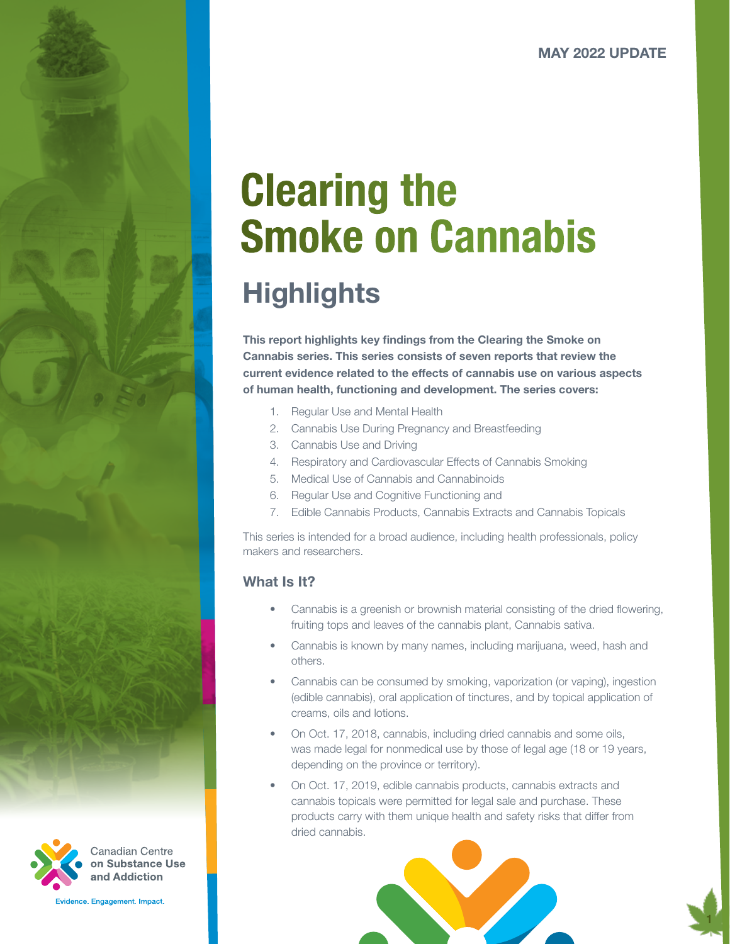# Clearing the Smoke on Cannabis

# **Highlights**

This report highlights key findings from the Clearing the Smoke on Cannabis series. This series consists of seven reports that review the current evidence related to the effects of cannabis use on various aspects of human health, functioning and development. The series covers:

- 1. Regular Use and Mental Health
- 2. Cannabis Use During Pregnancy and Breastfeeding
- 3. Cannabis Use and Driving
- 4. Respiratory and Cardiovascular Effects of Cannabis Smoking
- 5. Medical Use of Cannabis and Cannabinoids
- 6. Regular Use and Cognitive Functioning and
- 7. Edible Cannabis Products, Cannabis Extracts and Cannabis Topicals

This series is intended for a broad audience, including health professionals, policy makers and researchers.

# What **Is** It?

- Cannabis is a greenish or brownish material consisting of the dried flowering, fruiting tops and leaves of the cannabis plant, Cannabis sativa.
- Cannabis is known by many names, including marijuana, weed, hash and others.
- Cannabis can be consumed by smoking, vaporization (or vaping), ingestion (edible cannabis), oral application of tinctures, and by topical application of creams, oils and lotions.
- On Oct. 17, 2018, cannabis, including dried cannabis and some oils, was made legal for nonmedical use by those of legal age (18 or 19 years, depending on the province or territory).
- On Oct. 17, 2019, edible cannabis products, cannabis extracts and cannabis topicals were permitted for legal sale and purchase. These products carry with them unique health and safety risks that differ from dried cannabis.







Canadian Centre on Substance Use and Addiction

Evidence, Engagement, Impact,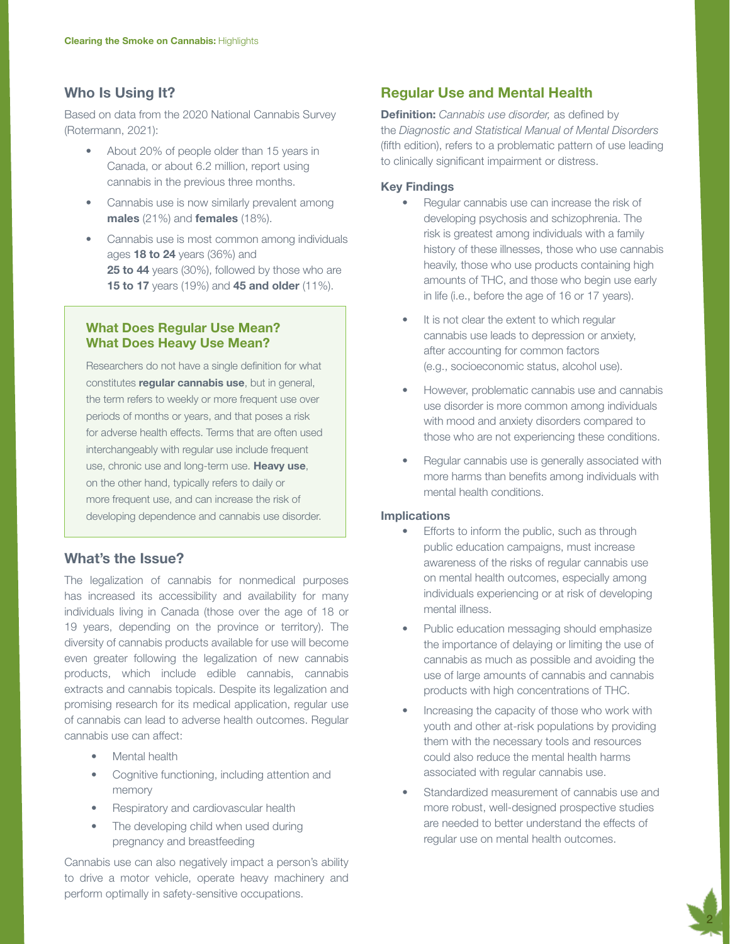# Who Is Using It?

Based on data from the 2020 National Cannabis Survey (Rotermann, 2021):

- About 20% of people older than 15 years in Canada, or about 6.2 million, report using cannabis in the previous three months.
- Cannabis use is now similarly prevalent among males (21%) and females (18%).
- Cannabis use is most common among individuals ages 18 to 24 years (36%) and **25 to 44** years (30%), followed by those who are **15 to 17** years (19%) and **45 and older** (11%).

# What Does Regular Use Mean? What Does Heavy Use Mean?

Researchers do not have a single definition for what constitutes regular cannabis use, but in general, the term refers to weekly or more frequent use over periods of months or years, and that poses a risk for adverse health effects. Terms that are often used interchangeably with regular use include frequent use, chronic use and long-term use. Heavy use, on the other hand, typically refers to daily or more frequent use, and can increase the risk of developing dependence and cannabis use disorder.

# What's the Issue?

The legalization of cannabis for nonmedical purposes has increased its accessibility and availability for many individuals living in Canada (those over the age of 18 or 19 years, depending on the province or territory). The diversity of cannabis products available for use will become even greater following the legalization of new cannabis products, which include edible cannabis, cannabis extracts and cannabis topicals. Despite its legalization and promising research for its medical application, regular use of cannabis can lead to adverse health outcomes. Regular cannabis use can affect:

- Mental health
- Cognitive functioning, including attention and memory
- Respiratory and cardiovascular health
- The developing child when used during pregnancy and breastfeeding

Cannabis use can also negatively impact a person's ability to drive a motor vehicle, operate heavy machinery and perform optimally in safety-sensitive occupations.

# Regular Use and Mental Health

Definition: *Cannabis use disorder,* as defined by the *Diagnostic and Statistical Manual of Mental Disorders* (fifth edition), refers to a problematic pattern of use leading to clinically significant impairment or distress.

#### Key Findings

- Regular cannabis use can increase the risk of developing psychosis and schizophrenia. The risk is greatest among individuals with a family history of these illnesses, those who use cannabis heavily, those who use products containing high amounts of THC, and those who begin use early in life (i.e., before the age of 16 or 17 years).
- It is not clear the extent to which regular cannabis use leads to depression or anxiety, after accounting for common factors (e.g., socioeconomic status, alcohol use).
- However, problematic cannabis use and cannabis use disorder is more common among individuals with mood and anxiety disorders compared to those who are not experiencing these conditions.
- Regular cannabis use is generally associated with more harms than benefits among individuals with mental health conditions.

#### **Implications**

- Efforts to inform the public, such as through public education campaigns, must increase awareness of the risks of regular cannabis use on mental health outcomes, especially among individuals experiencing or at risk of developing mental illness.
- Public education messaging should emphasize the importance of delaying or limiting the use of cannabis as much as possible and avoiding the use of large amounts of cannabis and cannabis products with high concentrations of THC.
- Increasing the capacity of those who work with youth and other at-risk populations by providing them with the necessary tools and resources could also reduce the mental health harms associated with regular cannabis use.
- Standardized measurement of cannabis use and more robust, well-designed prospective studies are needed to better understand the effects of regular use on mental health outcomes.

2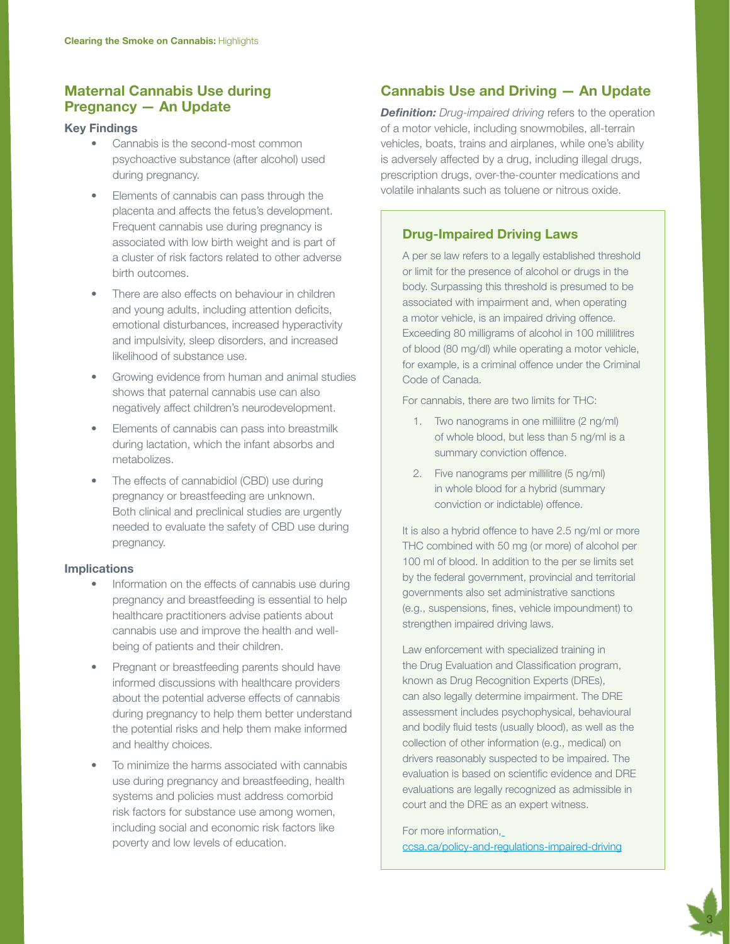# Maternal Cannabis Use during Pregnancy — An Update

#### Key Findings

- Cannabis is the second-most common psychoactive substance (after alcohol) used during pregnancy.
- Elements of cannabis can pass through the placenta and affects the fetus's development. Frequent cannabis use during pregnancy is associated with low birth weight and is part of a cluster of risk factors related to other adverse birth outcomes.
- There are also effects on behaviour in children and young adults, including attention deficits, emotional disturbances, increased hyperactivity and impulsivity, sleep disorders, and increased likelihood of substance use.
- Growing evidence from human and animal studies shows that paternal cannabis use can also negatively affect children's neurodevelopment.
- Elements of cannabis can pass into breastmilk during lactation, which the infant absorbs and metabolizes.
- The effects of cannabidiol (CBD) use during pregnancy or breastfeeding are unknown. Both clinical and preclinical studies are urgently needed to evaluate the safety of CBD use during pregnancy.

#### Implications

- Information on the effects of cannabis use during pregnancy and breastfeeding is essential to help healthcare practitioners advise patients about cannabis use and improve the health and wellbeing of patients and their children.
- Pregnant or breastfeeding parents should have informed discussions with healthcare providers about the potential adverse effects of cannabis during pregnancy to help them better understand the potential risks and help them make informed and healthy choices.
- To minimize the harms associated with cannabis use during pregnancy and breastfeeding, health systems and policies must address comorbid risk factors for substance use among women, including social and economic risk factors like poverty and low levels of education.

# Cannabis Use and Driving — An Update

*Definition: Drug-impaired driving refers to the operation* of a motor vehicle, including snowmobiles, all-terrain vehicles, boats, trains and airplanes, while one's ability is adversely affected by a drug, including illegal drugs, prescription drugs, over-the-counter medications and volatile inhalants such as toluene or nitrous oxide.

# Drug-Impaired Driving Laws

A per se law refers to a legally established threshold or limit for the presence of alcohol or drugs in the body. Surpassing this threshold is presumed to be associated with impairment and, when operating a motor vehicle, is an impaired driving offence. Exceeding 80 milligrams of alcohol in 100 millilitres of blood (80 mg/dl) while operating a motor vehicle, for example, is a criminal offence under the Criminal Code of Canada.

For cannabis, there are two limits for THC:

- 1. Two nanograms in one millilitre (2 ng/ml) of whole blood, but less than 5 ng/ml is a summary conviction offence.
- 2. Five nanograms per millilitre (5 ng/ml) in whole blood for a hybrid (summary conviction or indictable) offence.

It is also a hybrid offence to have 2.5 ng/ml or more THC combined with 50 mg (or more) of alcohol per 100 ml of blood. In addition to the per se limits set by the federal government, provincial and territorial governments also set administrative sanctions (e.g., suspensions, fines, vehicle impoundment) to strengthen impaired driving laws.

Law enforcement with specialized training in the Drug Evaluation and Classification program, known as Drug Recognition Experts (DREs), can also legally determine impairment. The DRE assessment includes psychophysical, behavioural and bodily fluid tests (usually blood), as well as the collection of other information (e.g., medical) on drivers reasonably suspected to be impaired. The evaluation is based on scientific evidence and DRE evaluations are legally recognized as admissible in court and the DRE as an expert witness.

For more information, [ccsa.ca/policy-and-regulations-impaired-driving](https://www.ccsa.ca/policy-and-regulations-impaired-driving)

3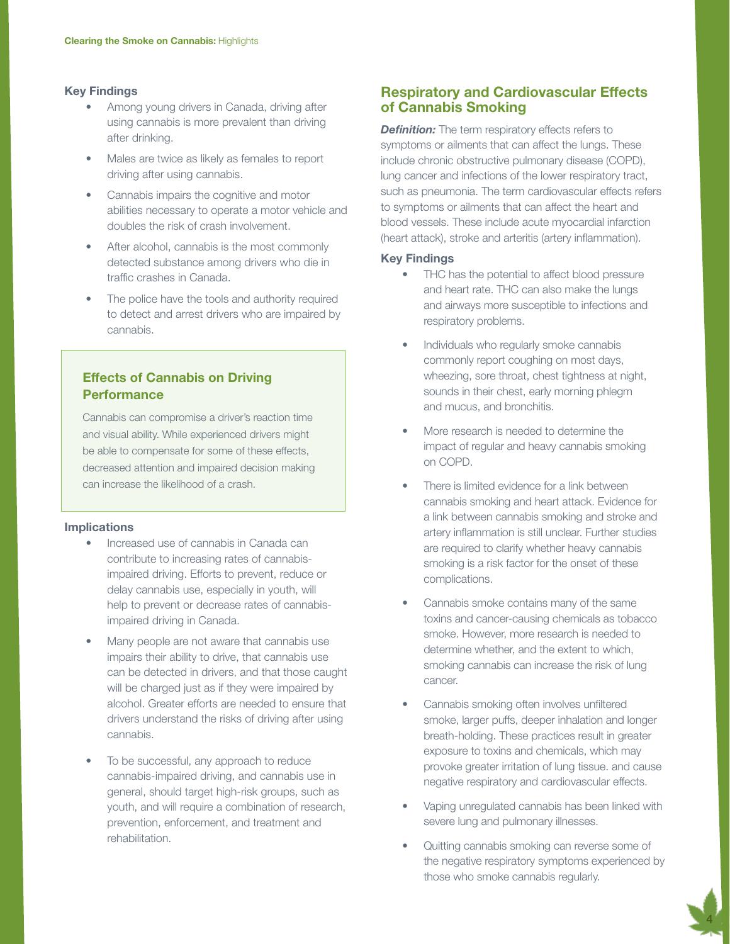#### Key Findings

- Among young drivers in Canada, driving after using cannabis is more prevalent than driving after drinking.
- Males are twice as likely as females to report driving after using cannabis.
- Cannabis impairs the cognitive and motor abilities necessary to operate a motor vehicle and doubles the risk of crash involvement.
- After alcohol, cannabis is the most commonly detected substance among drivers who die in traffic crashes in Canada.
- The police have the tools and authority required to detect and arrest drivers who are impaired by cannabis.

# Effects of Cannabis on Driving **Performance**

Cannabis can compromise a driver's reaction time and visual ability. While experienced drivers might be able to compensate for some of these effects, decreased attention and impaired decision making can increase the likelihood of a crash.

#### **Implications**

- Increased use of cannabis in Canada can contribute to increasing rates of cannabisimpaired driving. Efforts to prevent, reduce or delay cannabis use, especially in youth, will help to prevent or decrease rates of cannabisimpaired driving in Canada.
- Many people are not aware that cannabis use impairs their ability to drive, that cannabis use can be detected in drivers, and that those caught will be charged just as if they were impaired by alcohol. Greater efforts are needed to ensure that drivers understand the risks of driving after using cannabis.
- To be successful, any approach to reduce cannabis-impaired driving, and cannabis use in general, should target high-risk groups, such as youth, and will require a combination of research, prevention, enforcement, and treatment and rehabilitation.

# Respiratory and Cardiovascular Effects of Cannabis Smoking

**Definition:** The term respiratory effects refers to symptoms or ailments that can affect the lungs. These include chronic obstructive pulmonary disease (COPD), lung cancer and infections of the lower respiratory tract, such as pneumonia. The term cardiovascular effects refers to symptoms or ailments that can affect the heart and blood vessels. These include acute myocardial infarction (heart attack), stroke and arteritis (artery inflammation).

#### Key Findings

- THC has the potential to affect blood pressure and heart rate. THC can also make the lungs and airways more susceptible to infections and respiratory problems.
- Individuals who regularly smoke cannabis commonly report coughing on most days, wheezing, sore throat, chest tightness at night, sounds in their chest, early morning phlegm and mucus, and bronchitis.
- More research is needed to determine the impact of regular and heavy cannabis smoking on COPD.
- There is limited evidence for a link between cannabis smoking and heart attack. Evidence for a link between cannabis smoking and stroke and artery inflammation is still unclear. Further studies are required to clarify whether heavy cannabis smoking is a risk factor for the onset of these complications.
- Cannabis smoke contains many of the same toxins and cancer-causing chemicals as tobacco smoke. However, more research is needed to determine whether, and the extent to which, smoking cannabis can increase the risk of lung cancer.
- Cannabis smoking often involves unfiltered smoke, larger puffs, deeper inhalation and longer breath-holding. These practices result in greater exposure to toxins and chemicals, which may provoke greater irritation of lung tissue. and cause negative respiratory and cardiovascular effects.
- Vaping unregulated cannabis has been linked with severe lung and pulmonary illnesses.
- Quitting cannabis smoking can reverse some of the negative respiratory symptoms experienced by those who smoke cannabis regularly.

4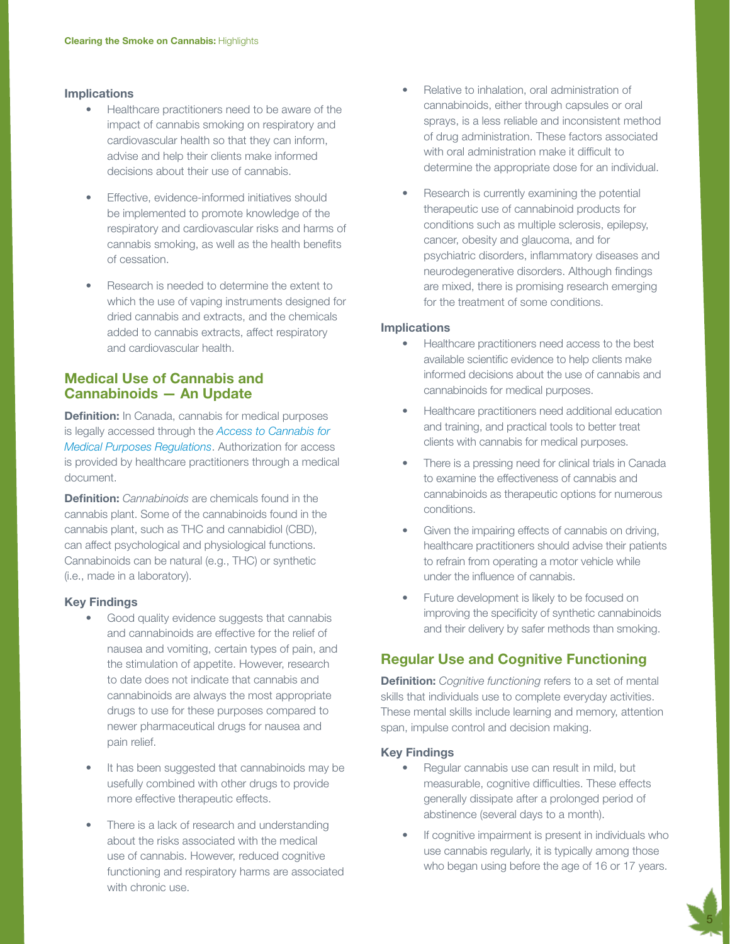#### Implications

- Healthcare practitioners need to be aware of the impact of cannabis smoking on respiratory and cardiovascular health so that they can inform, advise and help their clients make informed decisions about their use of cannabis.
- Effective, evidence-informed initiatives should be implemented to promote knowledge of the respiratory and cardiovascular risks and harms of cannabis smoking, as well as the health benefits of cessation.
- Research is needed to determine the extent to which the use of vaping instruments designed for dried cannabis and extracts, and the chemicals added to cannabis extracts, affect respiratory and cardiovascular health.

# Medical Use of Cannabis and Cannabinoids — An Update

**Definition:** In Canada, cannabis for medical purposes is legally accessed through the *[Access to Cannabis for](https://www.canada.ca/en/health-canada/services/publications/drugs-health-products/understanding-new-access-to-cannabis-for-medical-purposes-regulations.html)  [Medical Purposes Regulations](https://www.canada.ca/en/health-canada/services/publications/drugs-health-products/understanding-new-access-to-cannabis-for-medical-purposes-regulations.html)*. Authorization for access is provided by healthcare practitioners through a medical document.

Definition: *Cannabinoids* are chemicals found in the cannabis plant. Some of the cannabinoids found in the cannabis plant, such as THC and cannabidiol (CBD), can affect psychological and physiological functions. Cannabinoids can be natural (e.g., THC) or synthetic (i.e., made in a laboratory).

#### Key Findings

- Good quality evidence suggests that cannabis and cannabinoids are effective for the relief of nausea and vomiting, certain types of pain, and the stimulation of appetite. However, research to date does not indicate that cannabis and cannabinoids are always the most appropriate drugs to use for these purposes compared to newer pharmaceutical drugs for nausea and pain relief.
- It has been suggested that cannabinoids may be usefully combined with other drugs to provide more effective therapeutic effects.
- There is a lack of research and understanding about the risks associated with the medical use of cannabis. However, reduced cognitive functioning and respiratory harms are associated with chronic use.
- Relative to inhalation, oral administration of cannabinoids, either through capsules or oral sprays, is a less reliable and inconsistent method of drug administration. These factors associated with oral administration make it difficult to determine the appropriate dose for an individual.
- Research is currently examining the potential therapeutic use of cannabinoid products for conditions such as multiple sclerosis, epilepsy, cancer, obesity and glaucoma, and for psychiatric disorders, inflammatory diseases and neurodegenerative disorders. Although findings are mixed, there is promising research emerging for the treatment of some conditions.

#### Implications

- Healthcare practitioners need access to the best available scientific evidence to help clients make informed decisions about the use of cannabis and cannabinoids for medical purposes.
- Healthcare practitioners need additional education and training, and practical tools to better treat clients with cannabis for medical purposes.
- There is a pressing need for clinical trials in Canada to examine the effectiveness of cannabis and cannabinoids as therapeutic options for numerous conditions.
- Given the impairing effects of cannabis on driving, healthcare practitioners should advise their patients to refrain from operating a motor vehicle while under the influence of cannabis.
- Future development is likely to be focused on improving the specificity of synthetic cannabinoids and their delivery by safer methods than smoking.

# Regular Use and Cognitive Functioning

**Definition:** *Cognitive functioning* refers to a set of mental skills that individuals use to complete everyday activities. These mental skills include learning and memory, attention span, impulse control and decision making.

#### Key Findings

- Regular cannabis use can result in mild, but measurable, cognitive difficulties. These effects generally dissipate after a prolonged period of abstinence (several days to a month).
- If cognitive impairment is present in individuals who use cannabis regularly, it is typically among those who began using before the age of 16 or 17 years.

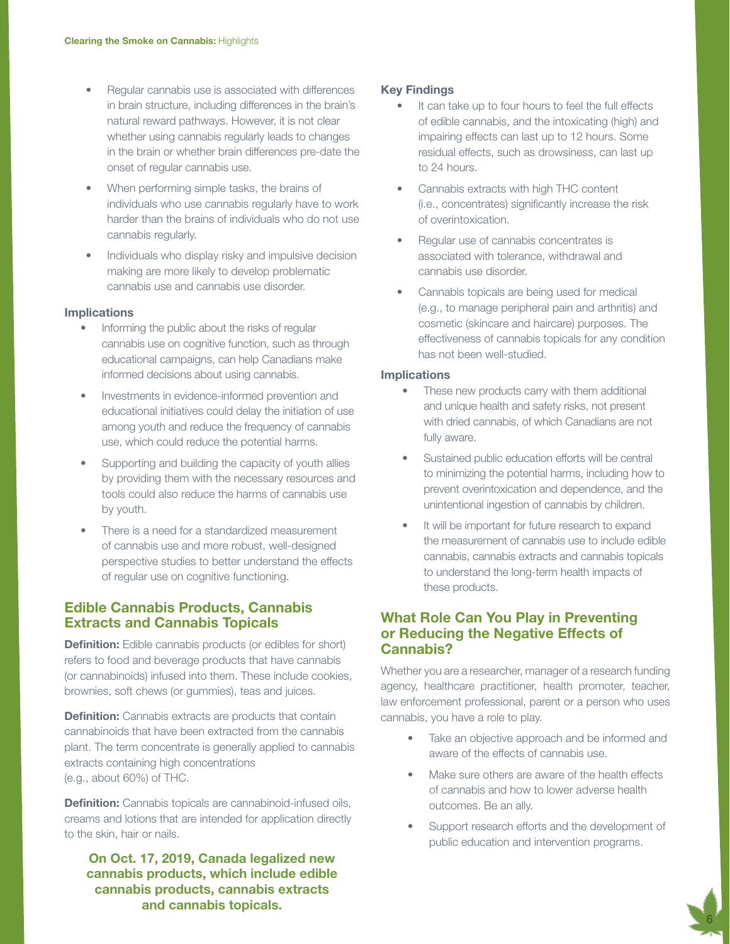- Regular cannabis use is associated with differences in brain structure, including differences in the brain's natural reward pathways. However, it is not clear whether using cannabis regularly leads to changes in the brain or whether brain differences pre-date the onset of regular cannabis use.
- When performing simple tasks, the brains of individuals who use cannabis regularly have to work harder than the brains of individuals who do not use cannabis regularly.
- Individuals who display risky and impulsive decision making are more likely to develop problematic cannabis use and cannabis use disorder.

#### Implications

- Informing the public about the risks of regular cannabis use on cognitive function, such as through educational campaigns, can help Canadians make informed decisions about using cannabis.
- Investments in evidence-informed prevention and educational initiatives could delay the initiation of use among youth and reduce the frequency of cannabis use, which could reduce the potential harms.
- Supporting and building the capacity of youth allies by providing them with the necessary resources and tools could also reduce the harms of cannabis use by youth.
- There is a need for a standardized measurement of cannabis use and more robust, well-designed perspective studies to better understand the effects of regular use on cognitive functioning.

# Edible Cannabis Products, Cannabis Extracts and Cannabis Topicals

**Definition:** Edible cannabis products (or edibles for short) refers to food and beverage products that have cannabis (or cannabinoids) infused into them. These include cookies, brownies, soft chews (or gummies), teas and juices.

**Definition:** Cannabis extracts are products that contain cannabinoids that have been extracted from the cannabis plant. The term concentrate is generally applied to cannabis extracts containing high concentrations (e.g., about 60%) of THC.

Definition: Cannabis topicals are cannabinoid-infused oils, creams and lotions that are intended for application directly to the skin, hair or nails.

On Oct. 17, 2019, Canada legalized new cannabis products, which include edible cannabis products, cannabis extracts and cannabis topicals.

#### Key Findings

- It can take up to four hours to feel the full effects of edible cannabis, and the intoxicating (high) and impairing effects can last up to 12 hours. Some residual effects, such as drowsiness, can last up to 24 hours.
- Cannabis extracts with high THC content (i.e., concentrates) significantly increase the risk of overintoxication.
- Regular use of cannabis concentrates is associated with tolerance, withdrawal and cannabis use disorder.
- Cannabis topicals are being used for medical (e.g., to manage peripheral pain and arthritis) and cosmetic (skincare and haircare) purposes. The effectiveness of cannabis topicals for any condition has not been well-studied.

#### Implications

- These new products carry with them additional and unique health and safety risks, not present with dried cannabis, of which Canadians are not fully aware.
- Sustained public education efforts will be central to minimizing the potential harms, including how to prevent overintoxication and dependence, and the unintentional ingestion of cannabis by children.
- It will be important for future research to expand the measurement of cannabis use to include edible cannabis, cannabis extracts and cannabis topicals to understand the long-term health impacts of these products.

# What Role Can You Play in Preventing or Reducing the Negative Effects of Cannabis?

Whether you are a researcher, manager of a research funding agency, healthcare practitioner, health promoter, teacher, law enforcement professional, parent or a person who uses cannabis, you have a role to play.

- Take an objective approach and be informed and aware of the effects of cannabis use.
- Make sure others are aware of the health effects of cannabis and how to lower adverse health outcomes. Be an ally.
- Support research efforts and the development of public education and intervention programs.